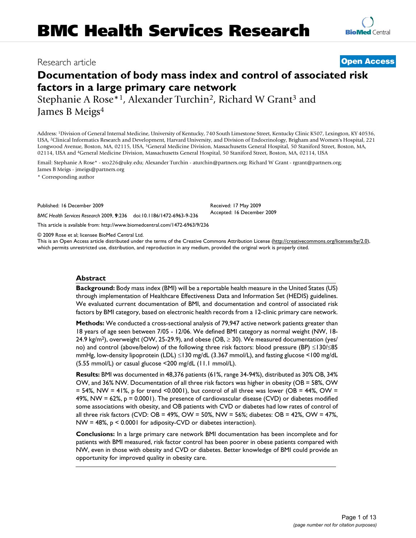# **Documentation of body mass index and control of associated risk factors in a large primary care network**

Stephanie A Rose\*<sup>1</sup>, Alexander Turchin<sup>2</sup>, Richard W Grant<sup>3</sup> and James B Meigs4

Address: 1Division of General Internal Medicine, University of Kentucky, 740 South Limestone Street, Kentucky Clinic K507, Lexington, KY 40536, USA, 2Clinical Informatics Research and Development, Harvard University, and Division of Endocrinology, Brigham and Women's Hospital, 221 Longwood Avenue, Boston, MA, 02115, USA, 3General Medicine Division, Massachusetts General Hospital, 50 Staniford Street, Boston, MA, 02114, USA and 4General Medicine Division, Massachusetts General Hospital, 50 Staniford Street, Boston, MA, 02114, USA

Email: Stephanie A Rose\* - sro226@uky.edu; Alexander Turchin - aturchin@partners.org; Richard W Grant - rgrant@partners.org; James B Meigs - jmeigs@partners.org

\* Corresponding author

Published: 16 December 2009

*BMC Health Services Research* 2009, **9**:236 doi:10.1186/1472-6963-9-236

[This article is available from: http://www.biomedcentral.com/1472-6963/9/236](http://www.biomedcentral.com/1472-6963/9/236)

© 2009 Rose et al; licensee BioMed Central Ltd.

This is an Open Access article distributed under the terms of the Creative Commons Attribution License [\(http://creativecommons.org/licenses/by/2.0\)](http://creativecommons.org/licenses/by/2.0), which permits unrestricted use, distribution, and reproduction in any medium, provided the original work is properly cited.

Received: 17 May 2009 Accepted: 16 December 2009

# **Abstract**

**Background:** Body mass index (BMI) will be a reportable health measure in the United States (US) through implementation of Healthcare Effectiveness Data and Information Set (HEDIS) guidelines. We evaluated current documentation of BMI, and documentation and control of associated risk factors by BMI category, based on electronic health records from a 12-clinic primary care network.

**Methods:** We conducted a cross-sectional analysis of 79,947 active network patients greater than 18 years of age seen between 7/05 - 12/06. We defined BMI category as normal weight (NW, 18- 24.9 kg/m<sup>2</sup>), overweight (OW, 25-29.9), and obese (OB,  $\geq$  30). We measured documentation (yes/ no) and control (above/below) of the following three risk factors: blood pressure (BP) ≤130/≤85 mmHg, low-density lipoprotein (LDL) ≤130 mg/dL (3.367 mmol/L), and fasting glucose <100 mg/dL (5.55 mmol/L) or casual glucose <200 mg/dL (11.1 mmol/L).

**Results:** BMI was documented in 48,376 patients (61%, range 34-94%), distributed as 30% OB, 34% OW, and 36% NW. Documentation of all three risk factors was higher in obesity (OB = 58%, OW  $= 54\%$ , NW = 41%, p for trend <0.0001), but control of all three was lower (OB = 44%, OW = 49%, NW = 62%,  $p = 0.0001$ ). The presence of cardiovascular disease (CVD) or diabetes modified some associations with obesity, and OB patients with CVD or diabetes had low rates of control of all three risk factors (CVD: OB = 49%, OW = 50%, NW = 56%; diabetes: OB = 42%, OW = 47%, NW = 48%, p < 0.0001 for adiposity-CVD or diabetes interaction).

**Conclusions:** In a large primary care network BMI documentation has been incomplete and for patients with BMI measured, risk factor control has been poorer in obese patients compared with NW, even in those with obesity and CVD or diabetes. Better knowledge of BMI could provide an opportunity for improved quality in obesity care.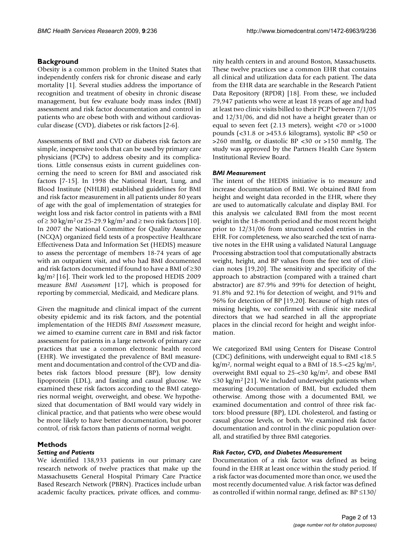# **Background**

Obesity is a common problem in the United States that independently confers risk for chronic disease and early mortality [1]. Several studies address the importance of recognition and treatment of obesity in chronic disease management, but few evaluate body mass index (BMI) assessment and risk factor documentation and control in patients who are obese both with and without cardiovascular disease (CVD), diabetes or risk factors [2-6].

Assessments of BMI and CVD or diabetes risk factors are simple, inexpensive tools that can be used by primary care physicians (PCPs) to address obesity and its complications. Little consensus exists in current guidelines concerning the need to screen for BMI and associated risk factors [7-15]. In 1998 the National Heart, Lung, and Blood Institute (NHLBI) established guidelines for BMI and risk factor measurement in all patients under 80 years of age with the goal of implementation of strategies for weight loss and risk factor control in patients with a BMI of  $\geq$  30 kg/m<sup>2</sup> or 25-29.9 kg/m<sup>2</sup> and  $\geq$  two risk factors [10]. In 2007 the National Committee for Quality Assurance (NCQA) organized field tests of a prospective Healthcare Effectiveness Data and Information Set (HEDIS) measure to assess the percentage of members 18-74 years of age with an outpatient visit, and who had BMI documented and risk factors documented if found to have a BMI of ≥30 kg/m2 [16]. Their work led to the proposed HEDIS 2009 measure *BMI Assessment* [17], which is proposed for reporting by commercial, Medicaid, and Medicare plans.

Given the magnitude and clinical impact of the current obesity epidemic and its risk factors, and the potential implementation of the HEDIS *BMI Assessment* measure, we aimed to examine current care in BMI and risk factor assessment for patients in a large network of primary care practices that use a common electronic health record (EHR). We investigated the prevalence of BMI measurement and documentation and control of the CVD and diabetes risk factors blood pressure (BP), low density lipoprotein (LDL), and fasting and casual glucose. We examined these risk factors according to the BMI categories normal weight, overweight, and obese. We hypothesized that documentation of BMI would vary widely in clinical practice, and that patients who were obese would be more likely to have better documentation, but poorer control, of risk factors than patients of normal weight.

# **Methods**

# *Setting and Patients*

We identified 138,933 patients in our primary care research network of twelve practices that make up the Massachusetts General Hospital Primary Care Practice Based Research Network (PBRN). Practices include urban academic faculty practices, private offices, and community health centers in and around Boston, Massachusetts. These twelve practices use a common EHR that contains all clinical and utilization data for each patient. The data from the EHR data are searchable in the Research Patient Data Repository (RPDR) [18]. From these, we included 79,947 patients who were at least 18 years of age and had at least two clinic visits billed to their PCP between 7/1/05 and 12/31/06, and did not have a height greater than or equal to seven feet (2.13 meters), weight <70 or >1000 pounds (<31.8 or >453.6 kilograms), systolic BP <50 or >260 mmHg, or diastolic BP <30 or >150 mmHg. The study was approved by the Partners Health Care System Institutional Review Board.

# *BMI Measurement*

The intent of the HEDIS initiative is to measure and increase documentation of BMI. We obtained BMI from height and weight data recorded in the EHR, where they are used to automatically calculate and display BMI. For this analysis we calculated BMI from the most recent weight in the 18-month period and the most recent height prior to 12/31/06 from structured coded entries in the EHR. For completeness, we also searched the text of narrative notes in the EHR using a validated Natural Language Processing abstraction tool that computationally abstracts weight, height, and BP values from the free text of clinician notes [19,20]. The sensitivity and specificity of the approach to abstraction (compared with a trained chart abstractor) are 87.9% and 99% for detection of height, 91.8% and 92.1% for detection of weight, and 91% and 96% for detection of BP [19,20]. Because of high rates of missing heights, we confirmed with clinic site medical directors that we had searched in all the appropriate places in the clincial record for height and weight information.

We categorized BMI using Centers for Disease Control (CDC) definitions, with underweight equal to BMI <18.5 kg/m<sup>2</sup>, normal weight equal to a BMI of  $18.5 - 25$  kg/m<sup>2</sup>, overweight BMI equal to 25-<30 kg/m2, and obese BMI  $\leq$ 30 kg/m<sup>2</sup> [21]. We included underweight patients when measuring documentation of BMI, but excluded them otherwise. Among those with a documented BMI, we examined documentation and control of three risk factors: blood pressure (BP), LDL cholesterol, and fasting or casual glucose levels, or both. We examined risk factor documentation and control in the clinic population overall, and stratified by three BMI categories.

# *Risk Factor, CVD, and Diabetes Measurement*

Documentation of a risk factor was defined as being found in the EHR at least once within the study period. If a risk factor was documented more than once, we used the most recently documented value. A risk factor was defined as controlled if within normal range, defined as:  $BP \leq 130/$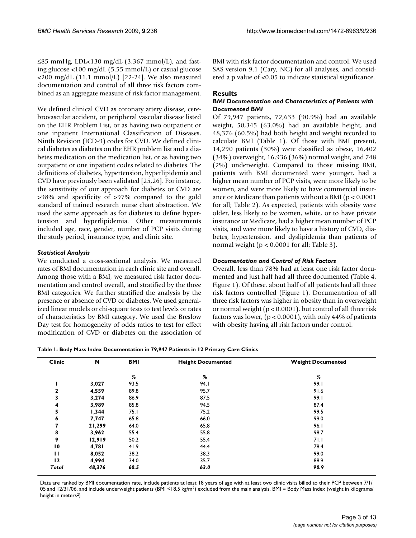≤85 mmHg, LDL<130 mg/dL (3.367 mmol/L), and fasting glucose <100 mg/dL (5.55 mmol/L) or casual glucose <200 mg/dL (11.1 mmol/L) [22-24]. We also measured documentation and control of all three risk factors combined as an aggregate measure of risk factor management.

We defined clinical CVD as coronary artery disease, cerebrovascular accident, or peripheral vascular disease listed on the EHR Problem List, or as having two outpatient or one inpatient International Classification of Diseases, Ninth Revision (ICD-9) codes for CVD. We defined clinical diabetes as diabetes on the EHR problem list and a diabetes medication on the medication list, or as having two outpatient or one inpatient codes related to diabetes. The definitions of diabetes, hypertension, hyperlipidemia and CVD have previously been validated [25,26]. For instance, the sensitivity of our approach for diabetes or CVD are >98% and specificity of >97% compared to the gold standard of trained research nurse chart abstraction. We used the same approach as for diabetes to define hypertension and hyperlipidemia. Other measurements included age, race, gender, number of PCP visits during the study period, insurance type, and clinic site.

# *Statistical Analysis*

We conducted a cross-sectional analysis. We measured rates of BMI documentation in each clinic site and overall. Among those with a BMI, we measured risk factor documentation and control overall, and stratified by the three BMI categories. We further stratified the analysis by the presence or absence of CVD or diabetes. We used generalized linear models or chi-square tests to test levels or rates of characteristics by BMI category. We used the Breslow Day test for homogeneity of odds ratios to test for effect modification of CVD or diabetes on the association of BMI with risk factor documentation and control. We used SAS version 9.1 (Cary, NC) for all analyses, and considered a p value of <0.05 to indicate statistical significance.

# **Results**

### *BMI Documentation and Characteristics of Patients with Documented BMI*

Of 79,947 patients, 72,633 (90.9%) had an available weight, 50,345 (63.0%) had an available height, and 48,376 (60.5%) had both height and weight recorded to calculate BMI (Table 1). Of those with BMI present, 14,290 patients (30%) were classified as obese, 16,402 (34%) overweight, 16,936 (36%) normal weight, and 748 (2%) underweight. Compared to those missing BMI, patients with BMI documented were younger, had a higher mean number of PCP visits, were more likely to be women, and were more likely to have commercial insurance or Medicare than patients without a BMI ( $p < 0.0001$ ) for all; Table 2). As expected, patients with obesity were older, less likely to be women, white, or to have private insurance or Medicare, had a higher mean number of PCP visits, and were more likely to have a history of CVD, diabetes, hypertension, and dyslipidemia than patients of normal weight (p < 0.0001 for all; Table 3).

# *Documentation and Control of Risk Factors*

Overall, less than 78% had at least one risk factor documented and just half had all three documented (Table 4, Figure 1). Of these, about half of all patients had all three risk factors controlled (Figure 1). Documentation of all three risk factors was higher in obesity than in overweight or normal weight (p < 0.0001), but control of all three risk factors was lower,  $(p < 0.0001)$ , with only 44% of patients with obesity having all risk factors under control.

| Table I: Body Mass Index Documentation in 79,947 Patients in 12 Primary Care Clinics |  |  |
|--------------------------------------------------------------------------------------|--|--|
|--------------------------------------------------------------------------------------|--|--|

| <b>Clinic</b> | N      | <b>BMI</b> | <b>Height Documented</b> | <b>Weight Documented</b> |
|---------------|--------|------------|--------------------------|--------------------------|
|               |        | %          | %                        | %                        |
|               | 3,027  | 93.5       | 94.I                     | 99.I                     |
| 2             | 4,559  | 89.8       | 95.7                     | 91.6                     |
| 3             | 3,274  | 86.9       | 87.5                     | 99.I                     |
| 4             | 3,989  | 85.8       | 94.5                     | 87.4                     |
| 5             | 1,344  | 75.1       | 75.2                     | 99.5                     |
| 6             | 7,747  | 65.8       | 66.0                     | 99.0                     |
|               | 21,299 | 64.0       | 65.8                     | 96.I                     |
| 8             | 3,962  | 55.4       | 55.8                     | 98.7                     |
| 9             | 12,919 | 50.2       | 55.4                     | 71.1                     |
| 10            | 4,781  | 41.9       | 44.4                     | 78.4                     |
| п             | 8,052  | 38.2       | 38.3                     | 99.0                     |
| 12            | 4,994  | 34.0       | 35.7                     | 88.9                     |
| Total         | 48,376 | 60.5       | 63.0                     | 90.9                     |

Data are ranked by BMI documentation rate, include patients at least 18 years of age with at least two clinic visits billed to their PCP between 7/1/ 05 and 12/31/06, and include underweight patients  $(BMI < 18.5 \text{ kg/m}^2)$  excluded from the main analysis. BMI = Body Mass Index (weight in kilograms/ height in meters<sup>2</sup>)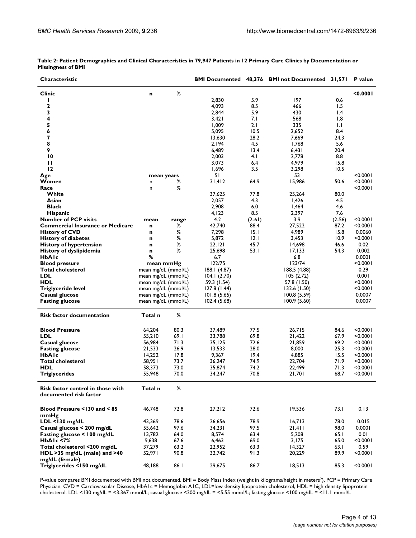| Characteristic                          |         |                     |              |          | <b>BMI Documented 48,376 BMI not Documented 31,571</b> |                 | P value  |
|-----------------------------------------|---------|---------------------|--------------|----------|--------------------------------------------------------|-----------------|----------|
| <b>Clinic</b>                           | n       | %                   |              |          |                                                        |                 | 0.0001   |
| ı                                       |         |                     | 2,830        | 5.9      | 197                                                    | 0.6             |          |
| $\mathbf{2}$                            |         |                     | 4,093        | 8.5      | 466                                                    | 1.5             |          |
| 3                                       |         |                     | 2,844        | 5.9      | 430                                                    | $\mathsf{I}$ .4 |          |
| 4                                       |         |                     | 3,421        | 7.I      | 568                                                    | 1.8             |          |
| 5                                       |         |                     | 1,009        | 2.1      | 335                                                    | 1.1             |          |
| 6                                       |         |                     | 5,095        | 10.5     | 2,652                                                  | 8.4             |          |
| $\overline{\mathbf{z}}$                 |         |                     | 13,630       | 28.2     | 7,669                                                  | 24.3            |          |
| 8                                       |         |                     | 2,194        | 4.5      | 1,768                                                  | 5.6             |          |
| 9                                       |         |                     | 6,489        | 13.4     | 6,431                                                  | 20.4            |          |
| $\overline{10}$                         |         |                     | 2,003        | 4.1      | 2,778                                                  | 8.8             |          |
| П                                       |         |                     | 3,073        | 6.4      | 4,979                                                  | 15.8            |          |
| 12                                      |         |                     | 1,696        | 3.5      | 3,298                                                  | 10.5            |          |
| Age                                     |         | mean years          | 51           |          | 53                                                     |                 | < 0.0001 |
| Women                                   | n       | ℅                   | 31,412       | 64.9     | 15,986                                                 | 50.6            | < 0.0001 |
| Race                                    | n       | %                   |              |          |                                                        |                 | < 0.0001 |
| White                                   |         |                     | 37,625       | 77.8     | 25,264                                                 | 80.0            |          |
| Asian                                   |         |                     | 2,057        | 4.3      | 1,426                                                  | 4.5             |          |
| <b>Black</b>                            |         |                     | 2,908        | 6.0      | 1,464                                                  | 4.6             |          |
| Hispanic                                |         |                     | 4,123        | 8.5      | 2,397                                                  | 7.6             |          |
| <b>Number of PCP visits</b>             | mean    | range               | 4.2          | $(2-61)$ | 3.9                                                    | $(2-56)$        | < 0.0001 |
| <b>Commercial Insurance or Medicare</b> | n       | %                   | 42,740       | 88.4     | 27,522                                                 | 87.2            | < 0.0001 |
| <b>History of CVD</b>                   | n       | %                   | 7,298        | 15.1     | 4,989                                                  | 15.8            | 0.0060   |
| <b>History of diabetes</b>              | n       | $\%$                | 5,872        | 2.1      | 3,453                                                  | 10.9            | < 0.0001 |
| History of hypertension                 | n       | %                   | 22,121       | 45.7     | 14,698                                                 | 46.6            | 0.02     |
| History of dyslipidemia                 | n       | %                   | 25,698       | 53.I     | 17, 133                                                | 54.3            | 0.002    |
| HbAlc                                   | %       |                     | 6.7          |          | 6.8                                                    |                 | 0.0001   |
| <b>Blood pressure</b>                   |         | mean mmHg           | 122/75       |          | 123/74                                                 |                 | < 0.0001 |
| <b>Total cholesterol</b>                |         | mean mg/dL (mmol/L) | 188.1 (4.87) |          | 188.5 (4.88)                                           |                 | 0.29     |
| LDL                                     |         | mean mg/dL (mmol/L) | 104.1(2.70)  |          | 105(2.72)                                              |                 | 0.001    |
| <b>HDL</b>                              |         | mean mg/dL (mmol/L) | 59.3 (1.54)  |          | 57.8 (1.50)                                            |                 | <0.000∣  |
| <b>Triglyceride level</b>               |         | mean mg/dL (mmol/L) | 127.8(1.44)  |          | 132.6 (1.50)                                           |                 | <0.000 l |
| Casual glucose                          |         | mean mg/dL (mmol/L) | 101.8(5.65)  |          | 100.8(5.59)                                            |                 | 0.0007   |
| <b>Fasting glucose</b>                  |         | mean mg/dL (mmol/L) | 102.4(5.68)  |          | 100.9(5.60)                                            |                 | 0.0007   |
|                                         |         |                     |              |          |                                                        |                 |          |
| <b>Risk factor documentation</b>        | Total n | %                   |              |          |                                                        |                 |          |
|                                         |         |                     |              |          |                                                        |                 |          |
| <b>Blood Pressure</b>                   | 64,204  | 80.3                | 37,489       | 77.5     | 26,715                                                 | 84.6            | < 0.0001 |
| LDL                                     | 55,210  | 69.I                | 33,788       | 69.8     | 21,422                                                 | 67.9            | < 0.0001 |
| Casual glucose                          | 56,984  | 71.3                | 35,125       | 72.6     | 21,859                                                 | 69.2            | < 0.0001 |
| <b>Fasting glucose</b>                  | 21,533  | 26.9                | 13,533       | 28.0     | 8,000                                                  | 25.3            | < 0.0001 |
| <b>HbAIc</b>                            | 14,252  | 17.8                | 9,367        | 19.4     | 4,885                                                  | 15.5            | < 0.0001 |
| <b>Total cholesterol</b>                | 58,951  | 73.7                | 36,247       | 74.9     | 22,704                                                 | 71.9            | < 0.0001 |
| <b>HDL</b>                              | 58,373  | 73.0                | 35,874       | 74.2     | 22,499                                                 | 71.3            | < 0.0001 |
| <b>Triglycerides</b>                    | 55,948  | 70.0                | 34,247       | 70.8     | 21,701                                                 | 68.7            | <0.0001  |
| Risk factor control in those with       | Total n | $\%$                |              |          |                                                        |                 |          |
| documented risk factor                  |         |                     |              |          |                                                        |                 |          |
|                                         |         |                     |              |          |                                                        |                 |          |
| Blood Pressure <130 and <85             | 46,748  | 72.8                | 27,212       | 72.6     | 19,536                                                 | 73.I            | 0.13     |
| mmHg                                    |         |                     |              |          |                                                        |                 |          |
| $LDL < 130$ mg/dL                       | 43,369  | 78.6                | 26,656       | 78.9     | 16,713                                                 | 78.0            | 0.015    |
| Casual glucose < 200 mg/dL              | 55,642  | 97.6                | 34,231       | 97.5     | 21,411                                                 | 98.0            | 0.0001   |
| Fasting glucose < 100 mg/dL             | 13,782  | 64.0                | 8,574        | 63.4     | 5,208                                                  | 65.I            | 0.01     |
| HbAIc <7%                               | 9,638   | 67.6                | 6,463        | 69.0     | 3,175                                                  | 65.0            | < 0.0001 |
| Total cholesterol <200 mg/dL            | 37,279  | 63.2                | 22,952       | 63.3     | 14,327                                                 | 63.I            | 0.59     |
| HDL >35 mg/dL (male) and >40            | 52,971  | 90.8                | 32,742       | 91.3     | 20,229                                                 | 89.9            | < 0.0001 |
| mg/dL (female)                          |         |                     |              |          |                                                        |                 |          |
| Triglycerides <150 mg/dL                | 48,188  | 86.I                | 29,675       | 86.7     | 18,513                                                 | 85.3            | < 0.0001 |

| Table 2: Patient Demographics and Clinical Characteristics in 79,947 Patients in 12 Primary Care Clinics by Documentation or |  |  |
|------------------------------------------------------------------------------------------------------------------------------|--|--|
| <b>Missingness of BMI</b>                                                                                                    |  |  |

P-value compares BMI documented with BMI not documented. BMI = Body Mass Index (weight in kilograms/height in meters<sup>2</sup>), PCP = Primary Care Physician, CVD = Cardiovascular Disease, HbA1c = Hemoglobin A1C, LDL=low density lipoprotein cholesterol, HDL = high density lipoprotein cholesterol. LDL <130 mg/dL = <3.367 mmol/L; casual glucose <200 mg/dL = <5.55 mmol/L; fasting glucose <100 mg/dL = <11.1 mmol/L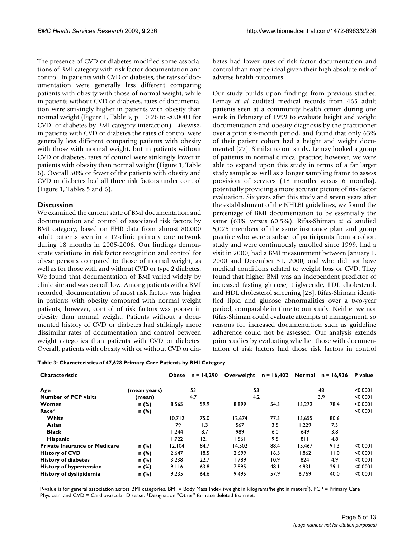The presence of CVD or diabetes modified some associations of BMI category with risk factor documentation and control. In patients with CVD or diabetes, the rates of documentation were generally less different comparing patients with obesity with those of normal weight, while in patients without CVD or diabetes, rates of documentation were strikingly higher in patients with obesity than normal weight (Figure 1, Table 5,  $p = 0.26$  to <0.0001 for CVD- or diabetes-by-BMI category interaction). Likewise, in patients with CVD or diabetes the rates of control were generally less different comparing patients with obesity with those with normal weight, but in patients without CVD or diabetes, rates of control were strikingly lower in patients with obesity than normal weight (Figure 1, Table 6). Overall 50% or fewer of the patients with obesity and CVD or diabetes had all three risk factors under control (Figure 1, Tables 5 and 6).

# **Discussion**

We examined the current state of BMI documentation and documentation and control of associated risk factors by BMI category, based on EHR data from almost 80,000 adult patients seen in a 12-clinic primary care network during 18 months in 2005-2006. Our findings demonstrate variations in risk factor recognition and control for obese persons compared to those of normal weight, as well as for those with and without CVD or type 2 diabetes. We found that documentation of BMI varied widely by clinic site and was overall low. Among patients with a BMI recorded, documentation of most risk factors was higher in patients with obesity compared with normal weight patients; however, control of risk factors was poorer in obesity than normal weight. Patients without a documented history of CVD or diabetes had strikingly more dissimilar rates of documentation and control between weight categories than patients with CVD or diabetes. Overall, patients with obesity with or without CVD or diabetes had lower rates of risk factor documentation and control than may be ideal given their high absolute risk of adverse health outcomes.

Our study builds upon findings from previous studies. Lemay *et al* audited medical records from 465 adult patients seen at a community health center during one week in February of 1999 to evaluate height and weight documentation and obesity diagnosis by the practitioner over a prior six-month period, and found that only 63% of their patient cohort had a height and weight documented [27]. Similar to our study, Lemay looked a group of patients in normal clinical practice; however, we were able to expand upon this study in terms of a far larger study sample as well as a longer sampling frame to assess provision of services (18 months versus 6 months), potentially providing a more accurate picture of risk factor evaluation. Six years after this study and seven years after the establishment of the NHLBI guidelines, we found the percentage of BMI documentation to be essentially the same (63% versus 60.5%). Rifas-Shiman *et al* studied 5,025 members of the same insurance plan and group practice who were a subset of participants from a cohort study and were continuously enrolled since 1999, had a visit in 2000, had a BMI measurement between January 1, 2000 and December 31, 2000, and who did not have medical conditions related to weight loss or CVD. They found that higher BMI was an independent predictor of increased fasting glucose, triglyceride, LDL cholesterol, and HDL cholesterol screening [28]. Rifas-Shiman identified lipid and glucose abnormalities over a two-year period, comparable in time to our study. Neither we nor Rifas-Shiman could evaluate attempts at management, so reasons for increased documentation such as guideline adherence could not be assessed. Our analysis extends prior studies by evaluating whether those with documentation of risk factors had those risk factors in control

| Table 3: Characteristics of 47,628 Primary Care Patients by BMI Category |  |  |
|--------------------------------------------------------------------------|--|--|
|                                                                          |  |  |

| Characteristic                       |              | <b>Obese</b> | $n = 14,290$ | Overweight | $n = 16,402$ |        | Normal $n = 16,936$ | P value  |
|--------------------------------------|--------------|--------------|--------------|------------|--------------|--------|---------------------|----------|
| Age                                  | (mean years) |              | 53           | 53         |              | 48     |                     | < 0.0001 |
| <b>Number of PCP visits</b>          | (mean)       |              | 4.7          | 4.2        |              |        | < 0.0001            |          |
| Women                                | $n$ (%)      | 8,565        | 59.9         | 8,899      | 54.3         | 13,272 | 78.4                | < 0.0001 |
| Race*                                | n (%)        |              |              |            |              |        |                     | < 0.0001 |
| White                                |              | 10.712       | 75.0         | 12.674     | 77.3         | 13.655 | 80.6                |          |
| Asian                                |              | 179          | 1.3          | 567        | 3.5          | 1.229  | 7.3                 |          |
| <b>Black</b>                         |              | 1.244        | 8.7          | 989        | 6.0          | 649    | 3.8                 |          |
| Hispanic                             |              | 1.722        | 12.1         | 1.561      | 9.5          | 811    | 4.8                 |          |
| <b>Private Insurance or Medicare</b> | n (%)        | 12.104       | 84.7         | 14.502     | 88.4         | 15.467 | 91.3                | < 0.0001 |
| <b>History of CVD</b>                | n(%)         | 2,647        | 18.5         | 2.699      | 16.5         | 1.862  | 11.0                | < 0.0001 |
| <b>History of diabetes</b>           | $n$ (%)      | 3.238        | 22.7         | 1.789      | 10.9         | 824    | 4.9                 | < 0.0001 |
| <b>History of hypertension</b>       | n (%)        | 9.116        | 63.8         | 7.895      | 48.1         | 4.931  | 29.1                | < 0.0001 |
| History of dyslipidemia              | n (%)        | 9,235        | 64.6         | 9,495      | 57.9         | 6,769  | 40.0                | < 0.0001 |

P-value is for general association across BMI categories. BMI = Body Mass Index (weight in kilograms/height in meters<sup>2</sup>), PCP = Primary Care Physician, and CVD = Cardiovascular Disease. \*Designation "Other" for race deleted from set.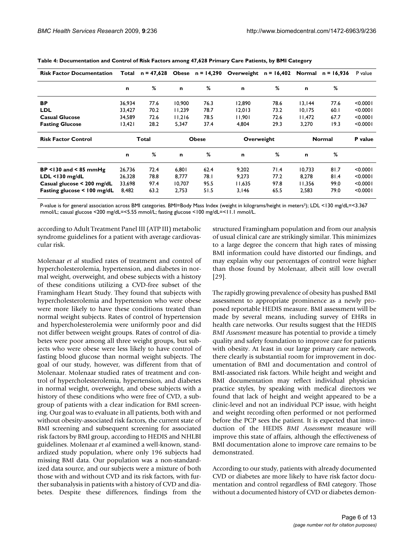| <b>Risk Factor Documentation</b> | Total  | $n = 47,628$ | <b>Obese</b> | n = 14,290 | Overweight | $n = 16,402$ | Normal        | $n = 16,936$ | P value  |
|----------------------------------|--------|--------------|--------------|------------|------------|--------------|---------------|--------------|----------|
|                                  | n      | %            | $\mathbf n$  | %          | n          | %            | $\mathbf n$   | %            |          |
| ВP                               | 36,934 | 77.6         | 10,900       | 76.3       | 12,890     | 78.6         | 13,144        | 77.6         | < 0.0001 |
| <b>LDL</b>                       | 33,427 | 70.2         | 11.239       | 78.7       | 12,013     | 73.2         | 10, 175       | 60.1         | < 0.0001 |
| <b>Casual Glucose</b>            | 34.589 | 72.6         | 11.216       | 78.5       | 11.901     | 72.6         | 11.472        | 67.7         | < 0.0001 |
| <b>Fasting Glucose</b>           | 13,421 | 28.2         | 5,347        | 37.4       | 4,804      | 29.3         | 3,270         | 19.3         | < 0.0001 |
| <b>Risk Factor Control</b>       |        | Total        | <b>Obese</b> |            | Overweight |              | <b>Normal</b> |              | P value  |
|                                  | n      | %            | $\mathbf n$  | %          | n          | %            | $\mathbf n$   | %            |          |
| $BP < 130$ and $< 85$ mmHg       | 26,736 | 72.4         | 6.801        | 62.4       | 9.202      | 71.4         | 10.733        | 81.7         | < 0.0001 |
| $LDL < 130$ mg/dL                | 26.328 | 78.8         | 8.777        | 78.I       | 9.273      | 77.2         | 8.278         | 81.4         | < 0.0001 |
| Casual glucose < 200 mg/dL       | 33,698 | 97.4         | 10.707       | 95.5       | 11.635     | 97.8         | 11,356        | 99.0         | < 0.0001 |
| Fasting glucose $\leq 100$ mg/dL | 8.482  | 63.2         | 2.753        | 51.5       | 3.146      | 65.5         | 2,583         | 79.0         | < 0.0001 |

**Table 4: Documentation and Control of Risk Factors among 47,628 Primary Care Patients, by BMI Category**

P-value is for general association across BMI categories. BMI=Body Mass Index (weight in kilograms/height in meters²); LDL <130 mg/dL=<3.367 mmol/L; casual glucose <200 mg/dL=<5.55 mmol/L; fasting glucose <100 mg/dL=<11.1 mmol/L.

according to Adult Treatment Panel III (ATP III) metabolic syndrome guidelines for a patient with average cardiovascular risk.

Molenaar *et al* studied rates of treatment and control of hypercholesterolemia, hypertension, and diabetes in normal weight, overweight, and obese subjects with a history of these conditions utilizing a CVD-free subset of the Framingham Heart Study. They found that subjects with hypercholesterolemia and hypertension who were obese were more likely to have these conditions treated than normal weight subjects. Rates of control of hypertension and hypercholesterolemia were uniformly poor and did not differ between weight groups. Rates of control of diabetes were poor among all three weight groups, but subjects who were obese were less likely to have control of fasting blood glucose than normal weight subjects. The goal of our study, however, was different from that of Molenaar. Molenaar studied rates of treatment and control of hypercholesterolemia, hypertension, and diabetes in normal weight, overweight, and obese subjects with a history of these conditions who were free of CVD, a subgroup of patients with a clear indication for BMI screening. Our goal was to evaluate in all patients, both with and without obesity-associated risk factors, the current state of BMI screening and subsequent screening for associated risk factors by BMI group, according to HEDIS and NHLBI guidelines. Molenaar *et al* examined a well-known, standardized study population, where only 196 subjects had missing BMI data. Our population was a non-standardized data source, and our subjects were a mixture of both those with and without CVD and its risk factors, with further subanalysis in patients with a history of CVD and diabetes. Despite these differences, findings from the structured Framingham population and from our analysis of usual clinical care are strikingly similar. This minimizes to a large degree the concern that high rates of missing BMI information could have distorted our findings, and may explain why our percentages of control were higher than those found by Molenaar, albeit still low overall [29].

The rapidly growing prevalence of obesity has pushed BMI assessment to appropriate prominence as a newly proposed reportable HEDIS measure. BMI assessment will be made by several means, including survey of EHRs in health care networks. Our results suggest that the HEDIS *BMI Assessment* measure has potential to provide a timely quality and safety foundation to improve care for patients with obesity. At least in our large primary care network, there clearly is substantial room for improvement in documentation of BMI and documentation and control of BMI-associated risk factors. While height and weight and BMI documentation may reflect individual physician practice styles, by speaking with medical directors we found that lack of height and weight appeared to be a clinic-level and not an individual PCP issue, with height and weight recording often performed or not performed before the PCP sees the patient. It is expected that introduction of the HEDIS *BMI Assessment* measure will improve this state of affairs, although the effectiveness of BMI documentation alone to improve care remains to be demonstrated.

According to our study, patients with already documented CVD or diabetes are more likely to have risk factor documentation and control regardless of BMI category. Those without a documented history of CVD or diabetes demon-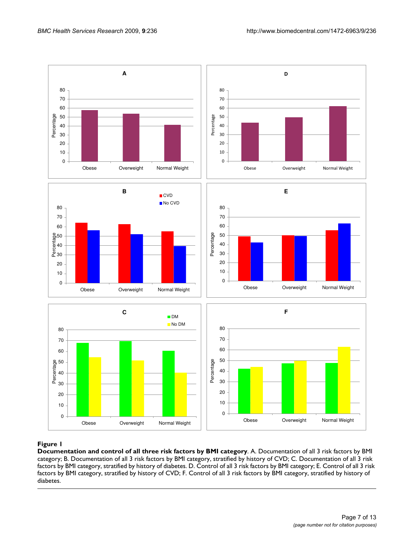

# Figure 1

**Documentation and control of all three risk factors by BMI category**. A. Documentation of all 3 risk factors by BMI category; B. Documentation of all 3 risk factors by BMI category, stratified by history of CVD; C. Documentation of all 3 risk factors by BMI category, stratified by history of diabetes. D. Control of all 3 risk factors by BMI category; E. Control of all 3 risk factors by BMI category, stratified by history of CVD; F. Control of all 3 risk factors by BMI category, stratified by history of diabetes.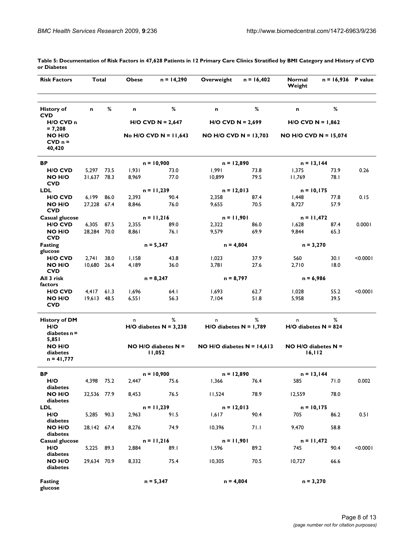| <b>Risk Factors</b>                          | Total                |      | <b>Obese</b>   | $n = 14,290$                      | Overweight                   | $n = 16,402$ | Normal<br>Weight         | $n = 16,936$ P value |          |
|----------------------------------------------|----------------------|------|----------------|-----------------------------------|------------------------------|--------------|--------------------------|----------------------|----------|
| <b>History of</b><br><b>CVD</b>              | $\mathbf n$          | %    | n              | %                                 | n                            | %            | n                        | %                    |          |
| H/O CVD n                                    |                      |      |                | $H/O$ CVD N = 2,647               | $H/O$ CVD N = 2,699          |              | $H/O$ CVD N = 1,862      |                      |          |
| $= 7,208$<br>NO H/O<br>$CVD$ $n =$<br>40,420 |                      |      |                | No H/O CVD N = $11,643$           | $NO$ H/O CVD N = 13,703      |              | NO H/O CVD N = $15,074$  |                      |          |
| BP                                           |                      |      |                | $n = 10,900$                      | $n = 12,890$                 |              | $n = 13,144$             |                      |          |
| H/O CVD                                      | 5,297                | 73.5 | 1,931          | 73.0                              | 1,991                        | 73.8         | 1,375                    | 73.9                 | 0.26     |
| NO H/O<br><b>CVD</b>                         | 31,637 78.3          |      | 8,969          | 77.0                              | 10,899                       | 79.5         | 11,769                   | 78.I                 |          |
| <b>LDL</b>                                   |                      |      |                | $n = 11,239$                      | $n = 12,013$                 |              | $n = 10,175$             |                      |          |
| H/O CVD<br>NO H/O                            | 6,199<br>27,228 67.4 | 86.0 | 2,393<br>8,846 | 90.4<br>76.0                      | 2,358<br>9,655               | 87.4<br>70.5 | I,448<br>8,727           | 77.8<br>57.9         | 0.15     |
| <b>CVD</b>                                   |                      |      |                |                                   |                              |              |                          |                      |          |
| Casual glucose                               |                      |      |                | $n = 11,216$                      | $n = 11,901$                 |              | $n = 11,472$             |                      |          |
| H/O CVD                                      | 6,305 87.5           |      | 2,355          | 89.0                              | 2,322                        | 86.0         | 1,628                    | 87.4                 | 0.0001   |
| <b>NO H/O</b><br><b>CVD</b>                  | 28.284 70.0          |      | 8,861          | 76.1                              | 9,579                        | 69.9         | 9,844                    | 65.3                 |          |
| <b>Fasting</b><br>glucose                    |                      |      |                | $n = 5,347$                       | $n = 4,804$                  |              | $n = 3,270$              |                      |          |
| H/O CVD                                      | 2,741                | 38.0 | 1,158          | 43.8                              | 1,023                        | 37.9         | 560                      | 30.1                 | < 0.0001 |
| NO H/O<br><b>CVD</b>                         | 10,680               | 26.4 | 4,189          | 36.0                              | 3,781                        | 27.6         | 2,710                    | 18.0                 |          |
| All 3 risk                                   |                      |      | $n = 8,247$    |                                   | $n = 8,797$                  |              | $n = 6,986$              |                      |          |
| factors                                      |                      |      |                |                                   |                              |              |                          |                      |          |
| <b>HIO CVD</b><br>NO H/O                     | 4,417<br>19,613 48.5 | 61.3 | 1,696<br>6,551 | 64.I<br>56.3                      | 1,693<br>7,104               | 62.7<br>51.8 | 1,028<br>5,958           | 55.2<br>39.5         | < 0.0001 |
| <b>CVD</b>                                   |                      |      |                |                                   |                              |              |                          |                      |          |
| <b>History of DM</b>                         |                      |      | n              | %                                 | n                            | %            | n                        | %                    |          |
| H/O<br>diabetes $n =$                        |                      |      |                | $H/O$ diabetes $N = 3,238$        | $H/O$ diabetes $N = 1,789$   |              | $H/O$ diabetes $N = 824$ |                      |          |
| 5,851<br>NO H/O<br>diabetes<br>$n = 41,777$  |                      |      |                | $NO$ H/O diabetes $N =$<br>11,052 | NO H/O diabetes $N = 14,613$ |              | $NO H/O$ diabetes $N =$  | 16, 112              |          |
| ВP                                           |                      |      |                | $n = 10,900$                      | $n = 12,890$                 |              | $n = 13,144$             |                      |          |
| H/O                                          | 4,398                | 75.2 | 2,447          | 75.6                              | 1,366                        | 76.4         | 585                      | 71.0                 | 0.002    |
| diabetes<br>NO H/O<br>diabetes               | 32,536 77.9          |      | 8,453          | 76.5                              | 11,524                       | 78.9         | 12,559                   | 78.0                 |          |
| <b>LDL</b>                                   |                      |      |                | $n = 11,239$                      | $n = 12,013$                 |              | $n = 10,175$             |                      |          |
| H/O                                          | 5,285                | 90.3 | 2,963          | 91.5                              | 1,617                        | 90.4         | 705                      | 86.2                 | 0.51     |
| diabetes<br>NO H/O<br>diabetes               | 28,142 67.4          |      | 8,276          | 74.9                              | 10,396                       | 71.1         | 9,470                    | 58.8                 |          |
| <b>Casual glucose</b>                        |                      |      |                | $n = 11,216$                      | $n = 11,901$                 |              | $n = 11,472$             |                      |          |
| H/O<br>diabetes                              | 5,225 89.3           |      | 2,884          | 89.1                              | 1,596                        | 89.2         | 745                      | 90.4                 | < 0.0001 |
| NO H/O<br>diabetes                           | 29,634 70.9          |      | 8,332          | 75.4                              | 10,305                       | 70.5         | 10,727                   | 66.6                 |          |
| Fasting<br>glucose                           |                      |      |                | $n = 5,347$                       | $n = 4,804$                  |              | $n = 3,270$              |                      |          |

**Table 5: Documentation of Risk Factors in 47,628 Patients in 12 Primary Care Clinics Stratified by BMI Category and History of CVD or Diabetes**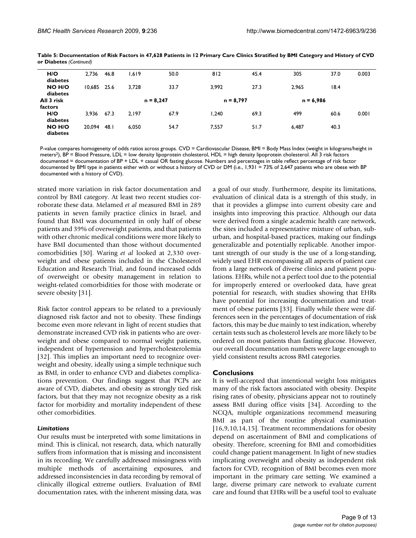| H/O<br>diabetes       | 2,736  | 46.8 | 1,619 | 50.0        | 812         | 45.4 | 305         | 37.0 | 0.003 |
|-----------------------|--------|------|-------|-------------|-------------|------|-------------|------|-------|
| NO H/O<br>diabetes    | 10.685 | 25.6 | 3.728 | 33.7        | 3.992       | 27.3 | 2.965       | 18.4 |       |
| All 3 risk<br>factors |        |      |       | $n = 8,247$ | $n = 8,797$ |      | $n = 6,986$ |      |       |
| H/O<br>diabetes       | 3,936  | 67.3 | 2,197 | 67.9        | 1.240       | 69.3 | 499         | 60.6 | 0.001 |
| NO H/O<br>diabetes    | 20.094 | 48.I | 6.050 | 54.7        | 7,557       | 51.7 | 6,487       | 40.3 |       |
|                       |        |      |       |             |             |      |             |      |       |

**Table 5: Documentation of Risk Factors in 47,628 Patients in 12 Primary Care Clinics Stratified by BMI Category and History of CVD or Diabetes** *(Continued)*

P-value compares homogeneity of odds ratios across groups. CVD = Cardiovascular Disease, BMI = Body Mass Index (weight in kilograms/height in meters2), BP = Blood Pressure, LDL = low density lipoprotein cholesterol, HDL = high density lipoprotein cholesterol. All 3 risk factors documented = documentation of BP + LDL + casual OR fasting glucose. Numbers and percentages in table reflect percentage of risk factor documented by BMI type in patients either with or without a history of CVD or DM (i.e., 1,931 = 73% of 2,647 patients who are obese with BP documented with a history of CVD).

strated more variation in risk factor documentation and control by BMI category. At least two recent studies corroborate these data. Melamed *et al* measured BMI in 289 patients in seven family practice clinics in Israel, and found that BMI was documented in only half of obese patients and 39% of overweight patients, and that patients with other chronic medical conditions were more likely to have BMI documented than those without documented comorbidities [30]. Waring *et al* looked at 2,330 overweight and obese patients included in the Cholesterol Education and Research Trial, and found increased odds of overweight or obesity management in relation to weight-related comorbidities for those with moderate or severe obesity [31].

Risk factor control appears to be related to a previously diagnosed risk factor and not to obesity. These findings become even more relevant in light of recent studies that demonstrate increased CVD risk in patients who are overweight and obese compared to normal weight patients, independent of hypertension and hypercholesterolemia [32]. This implies an important need to recognize overweight and obesity, ideally using a simple technique such as BMI, in order to enhance CVD and diabetes complications prevention. Our findings suggest that PCPs are aware of CVD, diabetes, and obesity as strongly tied risk factors, but that they may not recognize obesity as a risk factor for morbidity and mortality independent of these other comorbidities.

#### *Limitations*

Our results must be interpreted with some limitations in mind. This is clinical, not research, data, which naturally suffers from information that is missing and inconsistent in its recording. We carefully addressed missingness with multiple methods of ascertaining exposures, and addressed inconsistencies in data recording by removal of clinically illogical extreme outliers. Evaluation of BMI documentation rates, with the inherent missing data, was a goal of our study. Furthermore, despite its limitations, evaluation of clinical data is a strength of this study, in that it provides a glimpse into current obesity care and insights into improving this practice. Although our data were derived from a single academic health care network, the sites included a representative mixture of urban, suburban, and hospital-based practices, making our findings generalizable and potentially replicable. Another important strength of our study is the use of a long-standing, widely used EHR encompassing all aspects of patient care from a large network of diverse clinics and patient populations. EHRs, while not a perfect tool due to the potential for improperly entered or overlooked data, have great potential for research, with studies showing that EHRs have potential for increasing documentation and treatment of obese patients [33]. Finally while there were differences seen in the percentages of documentation of risk factors, this may be due mainly to test indication, whereby certain tests such as cholesterol levels are more likely to be ordered on most patients than fasting glucose. However, our overall documentation numbers were large enough to yield consistent results across BMI categories.

#### **Conclusions**

It is well-accepted that intentional weight loss mitigates many of the risk factors associated with obesity. Despite rising rates of obesity, physicians appear not to routinely assess BMI during office visits [34]. According to the NCQA, multiple organizations recommend measuring BMI as part of the routine physical examination [16,9,10,14,15]. Treatment recommendations for obesity depend on ascertainment of BMI and complications of obesity. Therefore, screening for BMI and comorbidities could change patient management. In light of new studies implicating overweight and obesity as independent risk factors for CVD, recognition of BMI becomes even more important in the primary care setting. We examined a large, diverse primary care network to evaluate current care and found that EHRs will be a useful tool to evaluate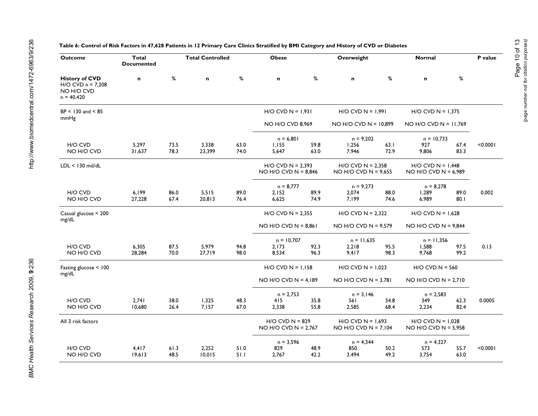| <b>Outcome</b>                                                               | Total<br><b>Documented</b> |              | <b>Total Controlled</b> |              | <b>Obese</b>                                  |              | Overweight                                      |              | Normal                                          |              | P value  |
|------------------------------------------------------------------------------|----------------------------|--------------|-------------------------|--------------|-----------------------------------------------|--------------|-------------------------------------------------|--------------|-------------------------------------------------|--------------|----------|
| <b>History of CVD</b><br>$H/O$ CVD $n = 7,208$<br>NO H/O CVD<br>$n = 40,420$ | n                          | $\%$         | n                       | %            | $\mathbf n$                                   | $\%$         | n                                               | %            | $\mathbf n$                                     | $\%$         |          |
| $BP < 130$ and $< 85$                                                        |                            |              |                         |              | $H/O$ CVD N = 1,931                           |              | $H/O$ CVD $N = 1,991$                           |              | $H/O$ CVD N = 1,375                             |              |          |
| mmHg                                                                         |                            |              |                         |              | NO H/O CVD 8,969                              |              | $NO$ H/O CVD $N = 10,899$                       |              | NO H/O CVD N = $11,769$                         |              |          |
| H/O CVD<br>NO H/O CVD                                                        | 5,297<br>31,637            | 73.5<br>78.3 | 3,338<br>23,399         | 63.0<br>74.0 | $n = 6,801$<br>1,155<br>5,647                 | 59.8<br>63.0 | $n = 9,202$<br>1,256<br>7,946                   | 63.1<br>72.9 | $n = 10,733$<br>927<br>9,806                    | 67.4<br>83.3 | < 0.0001 |
| $LDL < 130$ md/dL                                                            |                            |              |                         |              | $H/O$ CVD N = 2,393<br>NO H/O CVD $N = 8,846$ |              | $H/O$ CVD N = 2,358<br>NO H/O CVD $N = 9,655$   |              | $H/O$ CVD $N = 1,448$<br>NO H/O CVD $N = 6,989$ |              |          |
|                                                                              |                            |              |                         |              | $n = 8,777$                                   |              | $n = 9,273$                                     |              | $n = 8,278$                                     |              |          |
| H/O CVD<br>NO H/O CVD                                                        | 6,199<br>27,228            | 86.0<br>67.4 | 5,515<br>20,813         | 89.0<br>76.4 | 2,152<br>6,625                                | 89.9<br>74.9 | 2,074<br>7,199                                  | 88.0<br>74.6 | 1,289<br>6,989                                  | 89.0<br>80.1 | 0.002    |
| Casual glucose < 200                                                         |                            |              |                         |              | $H/O$ CVD N = 2,355                           |              | $H/O$ CVD N = 2,322                             |              | $H/O$ CVD $N = 1,628$                           |              |          |
| mg/dL                                                                        |                            |              |                         |              | NO H/O CVD N = $8,861$                        |              | NO H/O CVD N = $9,579$                          |              | NO H/O CVD $N = 9,844$                          |              |          |
|                                                                              |                            |              |                         |              | $n = 10,707$                                  |              | $n = 11,635$                                    |              | $n = 11,356$                                    |              |          |
| H/O CVD<br>NO H/O CVD                                                        | 6,305<br>28,284            | 87.5<br>70.0 | 5,979<br>27,719         | 94.8<br>98.0 | 2,173<br>8,534                                | 92.3<br>96.3 | 2,218<br>9,417                                  | 95.5<br>98.3 | 1,588<br>9,768                                  | 97.5<br>99.2 | 0.13     |
| Fasting glucose < 100                                                        |                            |              |                         |              | $H/O$ CVD N = 1,158                           |              | $H/O$ CVD $N = 1,023$                           |              | $H/O$ CVD $N = 560$                             |              |          |
| mg/dL                                                                        |                            |              |                         |              | NO H/O CVD N = $4,189$                        |              | NO H/O CVD N = $3,781$                          |              | NO H/O CVD N = $2,710$                          |              |          |
|                                                                              |                            |              |                         |              | $n = 2,753$                                   |              | $n = 3,146$                                     |              | $n = 2,583$                                     |              |          |
| H/O CVD<br>NO H/O CVD                                                        | 2,741<br>10,680            | 38.0<br>26.4 | 1,325<br>7,157          | 48.3<br>67.0 | 415<br>2,338                                  | 35.8<br>55.8 | 561<br>2,585                                    | 54.8<br>68.4 | 349<br>2,234                                    | 62.3<br>82.4 | 0.0005   |
| All 3 risk factors                                                           |                            |              |                         |              | $H/O$ CVD $N = 829$<br>NO H/O CVD N = $2,767$ |              | $H/O$ CVD $N = 1,693$<br>NO H/O CVD N = $7,104$ |              | $H/O$ CVD N = 1,028<br>NO H/O CVD $N = 5,958$   |              |          |
| H/O CVD                                                                      | 4.417                      | 61.3         | 2,252                   | 51.0         | $n = 3,596$<br>829                            | 48.9         | $n = 4,344$<br>850                              | 50.2         | $n = 4,327$<br>573                              | 55.7         | < 0.0001 |
| NO H/O CVD                                                                   | 19,613                     | 48.5         | 10,015                  | 51.1         | 2,767                                         | 42.2         | 3,494                                           | 49.2         | 3,754                                           | 63.0         |          |

### **Table 6: Control of Risk Factors in 47,628 Patients in 12 Primary Care Clinics Stratified by BMI Category and History of CVD or Diabetes**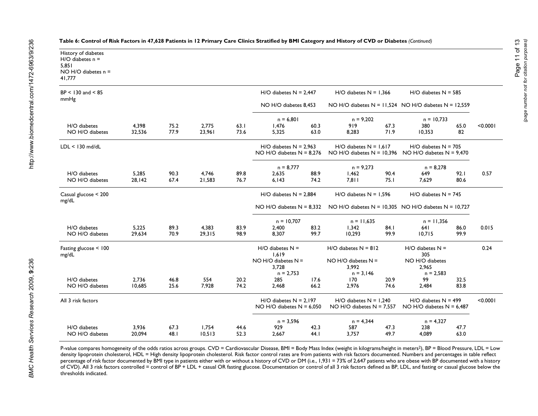| History of diabetes<br>$H/O$ diabetes $n =$<br>5,851<br>NO H/O diabetes $n =$<br>41,777 |                 |              |                 |              |                                                             |              |                                                                                        |                                                           |                                                         |              |          |
|-----------------------------------------------------------------------------------------|-----------------|--------------|-----------------|--------------|-------------------------------------------------------------|--------------|----------------------------------------------------------------------------------------|-----------------------------------------------------------|---------------------------------------------------------|--------------|----------|
| $BP < 130$ and $< 85$                                                                   |                 |              |                 |              | $H/O$ diabetes $N = 2,447$                                  |              | $H/O$ diabetes $N = 1,366$                                                             |                                                           | $H/O$ diabetes $N = 585$                                |              |          |
| mmHg                                                                                    |                 |              |                 |              |                                                             |              |                                                                                        | NO H/O diabetes $N = 11,524$ NO H/O diabetes $N = 12,559$ |                                                         |              |          |
|                                                                                         |                 |              |                 |              | NO H/O diabetes 8,453                                       |              |                                                                                        |                                                           |                                                         |              |          |
|                                                                                         |                 |              |                 |              | $n = 6,801$                                                 |              | $n = 9,202$                                                                            |                                                           | $n = 10,733$                                            |              |          |
| H/O diabetes<br>NO H/O diabetes                                                         | 4,398<br>32,536 | 75.2<br>77.9 | 2,775<br>23,961 | 63.1<br>73.6 | 1,476<br>5,325                                              | 60.3<br>63.0 | 919<br>8,283                                                                           | 67.3<br>71.9                                              | 380<br>10,353                                           | 65.0<br>82   | < 0.0001 |
| $LDL < 130$ md/dL                                                                       |                 |              |                 |              | $H/O$ diabetes $N = 2.963$<br>NO H/O diabetes $N = 8,276$   |              | $H/O$ diabetes $N = 1.617$<br>NO H/O diabetes $N = 10,396$ NO H/O diabetes $N = 9,470$ |                                                           | $H/O$ diabetes $N = 705$                                |              |          |
|                                                                                         |                 |              |                 |              | $n = 8,777$                                                 |              | $n = 9,273$                                                                            |                                                           | $n = 8.278$                                             |              |          |
| H/O diabetes                                                                            | 5,285           | 90.3         | 4,746           | 89.8         | 2,635                                                       | 88.9         | 1,462                                                                                  | 90.4                                                      | 649                                                     | 92.1         | 0.57     |
| NO H/O diabetes                                                                         | 28,142          | 67.4         | 21,583          | 76.7         | 6,143                                                       | 74.2         | 7,811                                                                                  | 75.I                                                      | 7,629                                                   | 80.6         |          |
| Casual glucose < 200<br>mg/dL                                                           |                 |              |                 |              | $H/O$ diabetes $N = 2,884$                                  |              | $H/O$ diabetes $N = 1,596$                                                             |                                                           | $H/O$ diabetes $N = 745$                                |              |          |
|                                                                                         |                 |              |                 |              | $NO$ H/O diabetes $N = 8,332$                               |              | NO H/O diabetes $N = 10,305$ NO H/O diabetes $N = 10,727$                              |                                                           |                                                         |              |          |
|                                                                                         |                 |              |                 |              | $n = 10,707$                                                |              | $n = 11,635$                                                                           |                                                           | $n = 11,356$                                            |              |          |
| H/O diabetes                                                                            | 5,225           | 89.3         | 4,383           | 83.9         | 2,400                                                       | 83.2         | 1,342                                                                                  | 84.I                                                      | 64 I                                                    | 86.0         | 0.015    |
| NO H/O diabetes                                                                         | 29,634          | 70.9         | 29,315          | 98.9         | 8.307                                                       | 99.7         | 10,293                                                                                 | 99.9                                                      | 10,715                                                  | 99.9         |          |
| Fasting glucose < 100<br>mg/dL                                                          |                 |              |                 |              | $H/O$ diabetes $N =$<br>1.619                               |              | $H/O$ diabetes $N = 812$                                                               |                                                           | $H/O$ diabetes $N =$<br>305                             |              | 0.24     |
|                                                                                         |                 |              |                 |              | $NO$ H/O diabetes $N =$<br>3,728                            |              | $NO$ H/O diabetes $N =$<br>3,992                                                       |                                                           | NO H/O diabetes<br>2,965                                |              |          |
|                                                                                         |                 |              |                 |              | $n = 2,753$                                                 |              | $n = 3,146$                                                                            |                                                           | $n = 2,583$                                             |              |          |
| H/O diabetes<br>NO H/O diabetes                                                         | 2,736<br>10,685 | 46.8<br>25.6 | 554<br>7,928    | 20.2<br>74.2 | 285<br>2,468                                                | 17.6<br>66.2 | 170<br>2,976                                                                           | 20.9<br>74.6                                              | 99<br>2,484                                             | 32.5<br>83.8 |          |
|                                                                                         |                 |              |                 |              |                                                             |              |                                                                                        |                                                           |                                                         |              |          |
| All 3 risk factors                                                                      |                 |              |                 |              | $H/O$ diabetes $N = 2,197$<br>$NO$ H/O diabetes $N = 6.050$ |              | $H/O$ diabetes $N = 1,240$<br>NO H/O diabetes $N = 7,557$                              |                                                           | $H/O$ diabetes $N = 499$<br>NO H/O diabetes $N = 6.487$ |              | < 0.0001 |
|                                                                                         |                 |              |                 |              | $n = 3,596$                                                 |              | $n = 4,344$                                                                            |                                                           | $n = 4,327$                                             |              |          |
| H/O diabetes                                                                            | 3.936           | 67.3         | 1.754           | 44.6         | 929                                                         | 42.3         | 587                                                                                    | 47.3                                                      | 238                                                     | 47.7         |          |
| NO H/O diabetes                                                                         | 20,094          | 48.1         | 10,513          | 52.3         | 2.667                                                       | 44.1         | 3,757                                                                                  | 49.7                                                      | 4,089                                                   | 63.0         |          |

P-value compares homogeneity of the odds ratios across groups. CVD = Cardiovascular Disease, BMI = Body Mass Index (weight in kilograms/height in meters2), BP = Blood Pressure, LDL = Low density lipoprotein cholesterol, HDL = High density lipoprotein cholesterol. Risk factor control rates are from patients with risk factors documented. Numbers and percentages in table reflect percentage of risk factor documented by BMI type in patients either with or without a history of CVD or DM (i.e., 1,931 = 73% of 2,647 patients who are obese with BP documented with a history of CVD). All 3 risk factors controlled = control of BP + LDL + casual OR fasting glucose. Documentation or control of all 3 risk factors defined as BP, LDL, and fasting or casual glucose below the thresholds indicated.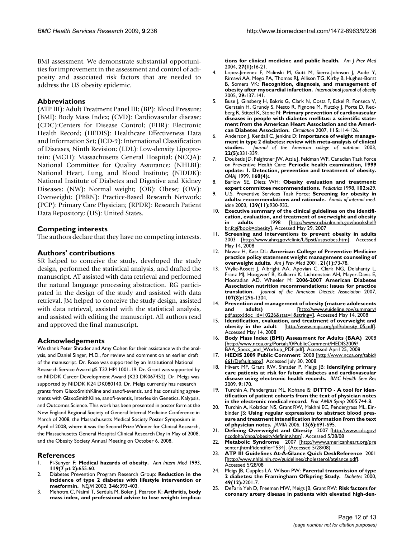BMI assessment. We demonstrate substantial opportunities for improvement in the assessment and control of adiposity and associated risk factors that are needed to address the US obesity epidemic.

### **Abbreviations**

(ATP III): Adult Treatment Panel III; (BP): Blood Pressure; (BMI): Body Mass Index; (CVD): Cardiovascular disease; (CDC):Centers for Disease Control; (EHR): Electronic Health Record; (HEDIS): Healthcare Effectiveness Data and Information Set; (ICD-9): International Classification of Diseases, Ninth Revision; (LDL): Low-density Lipoprotein; (MGH): Massachusetts General Hospital; (NCQA): National Committee for Quality Assurance; (NHLBI): National Heart, Lung, and Blood Institute; (NIDDK): National Institute of Diabetes and Digestive and Kidney Diseases; (NW): Normal weight; (OB): Obese; (OW): Overweight; (PBRN): Practice-Based Research Network; (PCP): Primary Care Physician; (RPDR): Research Patient Data Repository; (US): United States.

# **Competing interests**

The authors declare that they have no competing interests.

#### **Authors' contributions**

SR helped to conceive the study, developed the study design, performed the statistical analysis, and drafted the manuscript. AT assisted with data retrieval and performed the natural language processing abstraction. RG participated in the design of the study and assisted with data retrieval. JM helped to conceive the study design, assisted with data retrieval, assisted with the statistical analysis, and assisted with editing the manuscript. All authors read and approved the final manuscript.

#### **Acknowledgements**

We thank Peter Shrader and Amy Cohen for their assistance with the analysis, and Daniel Singer, M.D., for review and comment on an earlier draft of the manuscript. Dr. Rose was supported by an Institutional National Research Service Award #5 T32 HP11001-19. Dr. Grant was supported by an NIDDK Career Development Award (K23 DK067452). Dr. Meigs was supported by NIDDK K24 DK080140. Dr. Meigs currently has research grants from GlaxoSmithKline and sanofi-aventis, and has consulting agreements with GlaxoSmithKline, sanofi-aventis, Interleukin Genetics, Kalypsis, and Outcomes Science. This work has been presented in poster form at the New England Regional Society of General Internal Medicine Conference in March of 2008, the Massachusetts Medical Society Poster Symposium in April of 2008, where it was the Second Prize Winner for Clinical Research, the Massachusetts General Hospital Clinical Research Day in May of 2008, and the Obesity Society Annual Meeting on October 6, 2008.

#### **References**

- 1. Pi-Sunyer F: **[Medical hazards of obesity.](http://www.ncbi.nlm.nih.gov/entrez/query.fcgi?cmd=Retrieve&db=PubMed&dopt=Abstract&list_uids=8363192)** *Ann Intern Med* 1993, **119(7 pt 2):**655-60.
- 2. Diabetes Prevention Program Research Group: **[Reduction in the](http://www.ncbi.nlm.nih.gov/entrez/query.fcgi?cmd=Retrieve&db=PubMed&dopt=Abstract&list_uids=11832527) [incidence of type 2 diabetes with lifestyle intervention or](http://www.ncbi.nlm.nih.gov/entrez/query.fcgi?cmd=Retrieve&db=PubMed&dopt=Abstract&list_uids=11832527) [metformin.](http://www.ncbi.nlm.nih.gov/entrez/query.fcgi?cmd=Retrieve&db=PubMed&dopt=Abstract&list_uids=11832527)** *NEJM* 2002, **346:**393-403.
- 3. Mehotra C, Naimi T, Serdula M, Bolen J, Pearson K: **[Arthritis, body](http://www.ncbi.nlm.nih.gov/entrez/query.fcgi?cmd=Retrieve&db=PubMed&dopt=Abstract&list_uids=15212770) [mass index, and professional advice to lose weight: implica-](http://www.ncbi.nlm.nih.gov/entrez/query.fcgi?cmd=Retrieve&db=PubMed&dopt=Abstract&list_uids=15212770)**

**[tions for clinical medicine and public health.](http://www.ncbi.nlm.nih.gov/entrez/query.fcgi?cmd=Retrieve&db=PubMed&dopt=Abstract&list_uids=15212770)** *Am J Prev Med* 2004, **27(1):**16-21.

- 4. Lopez-Jimenez F, Malinski M, Gutt M, Sierra-Johnson J, Aude Y, Rimawi AA, Mego PA, Thomas RJ, Allison TG, Kirby B, Hughes-Borst B, Somers VK: **[Recognition, diagnosis, and management of](http://www.ncbi.nlm.nih.gov/entrez/query.fcgi?cmd=Retrieve&db=PubMed&dopt=Abstract&list_uids=15520829) [obesity after myocardial infarction.](http://www.ncbi.nlm.nih.gov/entrez/query.fcgi?cmd=Retrieve&db=PubMed&dopt=Abstract&list_uids=15520829)** *International journal of obesity* 2005, **29:**137-141.
- Buse J, Ginsberg H, Bakris G, Clark N, Costa F, Eckel R, Fonseca V, Gerstein H, Grundy S, Nesto R, Pignone M, Plutzky J, Porte D, Redberg R, Stitzel K, Stone N: **[Primary prevention of cardiovascular](http://www.ncbi.nlm.nih.gov/entrez/query.fcgi?cmd=Retrieve&db=PubMed&dopt=Abstract&list_uids=17192512) [diseases in people with diabetes mellitus: a scientific state](http://www.ncbi.nlm.nih.gov/entrez/query.fcgi?cmd=Retrieve&db=PubMed&dopt=Abstract&list_uids=17192512)ment from the American Heart Association and the Ameri[can Diabetes Association.](http://www.ncbi.nlm.nih.gov/entrez/query.fcgi?cmd=Retrieve&db=PubMed&dopt=Abstract&list_uids=17192512)** *Circulation* 2007, **115:**114-126.
- 6. Anderson J, Kendall C, Jenkins D: **[Importance of weight manage](http://www.ncbi.nlm.nih.gov/entrez/query.fcgi?cmd=Retrieve&db=PubMed&dopt=Abstract&list_uids=14559925)[ment in type 2 diabetes: review with meta-analysis of clinical](http://www.ncbi.nlm.nih.gov/entrez/query.fcgi?cmd=Retrieve&db=PubMed&dopt=Abstract&list_uids=14559925) [studies.](http://www.ncbi.nlm.nih.gov/entrez/query.fcgi?cmd=Retrieve&db=PubMed&dopt=Abstract&list_uids=14559925)** *Journal of the American college of nutrition* 2003, **22(5):**331-339.
- Douketis JD, Feightner JW, Attia J, Feldman WF, Canadian Task Force on Preventive Health Care: **Periodic health examination, 1999 update: 1. Detection, prevention and treatment of obesity.** *CMAJ* 1999, **160(4):**.
- 8. Barlow SE, Dietz WH: **[Obesity evaluation and treatment:](http://www.ncbi.nlm.nih.gov/entrez/query.fcgi?cmd=Retrieve&db=PubMed&dopt=Abstract&list_uids=9724677) [expert committee recommendations.](http://www.ncbi.nlm.nih.gov/entrez/query.fcgi?cmd=Retrieve&db=PubMed&dopt=Abstract&list_uids=9724677)** *Pediatrics* 1998, **102:**e29.
- 9. U.S. Preventive Services Task Force: **[Screening for obesity in](http://www.ncbi.nlm.nih.gov/entrez/query.fcgi?cmd=Retrieve&db=PubMed&dopt=Abstract&list_uids=14644896) [adults: recommendations and rationale.](http://www.ncbi.nlm.nih.gov/entrez/query.fcgi?cmd=Retrieve&db=PubMed&dopt=Abstract&list_uids=14644896)** *Annals of internal medicine* 2003, **139(11):**930-932.
- 10. **Executive summary of the clinical guidelines on the identification, evaluation, and treatment of overweight and obesity<br>in adults 1998** [http://www.nchi.nlm.nih.gov/hookshelf/ **in adults** 1998 [\[http://www.ncbi.nlm.nih.gov/bookshelf/](http://www.ncbi.nlm.nih.gov/bookshelf/br.fcgi?book=obesity) [br.fcgi?book=obesity\]](http://www.ncbi.nlm.nih.gov/bookshelf/br.fcgi?book=obesity). Accessed May 29, 2007
- Screening and interventions to prevent obesity in adults 2003 [\[http://www.ahrq.gov/clinic/USpstf/uspsobes.htm\]](http://www.ahrq.gov/clinic/USpstf/uspsobes.htm). Accessed May 14, 2008
- 12. Nawaz H, Katz DL: **[American College of Preventive Medicine](http://www.ncbi.nlm.nih.gov/entrez/query.fcgi?cmd=Retrieve&db=PubMed&dopt=Abstract&list_uids=11418263) [practice policy statement weight management counseling of](http://www.ncbi.nlm.nih.gov/entrez/query.fcgi?cmd=Retrieve&db=PubMed&dopt=Abstract&list_uids=11418263) [overweight adults.](http://www.ncbi.nlm.nih.gov/entrez/query.fcgi?cmd=Retrieve&db=PubMed&dopt=Abstract&list_uids=11418263)** *Am J Prev Med* 2001, **21(1):**73-78.
- 13. Wylie-Rosett J, Albright AA, Apovian C, Clark NG, Delahanty L, Franz MJ, Hoogwerf B, Kulkarni K, Lichtenstein AH, Mayer-Davis E, Mooradian AD, Wheeler M: **[2006-2007 American Diabetes](http://www.ncbi.nlm.nih.gov/entrez/query.fcgi?cmd=Retrieve&db=PubMed&dopt=Abstract&list_uids=17659893) [Association nutrition recommendations: issues for practice](http://www.ncbi.nlm.nih.gov/entrez/query.fcgi?cmd=Retrieve&db=PubMed&dopt=Abstract&list_uids=17659893) [translation.](http://www.ncbi.nlm.nih.gov/entrez/query.fcgi?cmd=Retrieve&db=PubMed&dopt=Abstract&list_uids=17659893)** *Journal of the American Dietetic Association* 2007, **107(8):**1296-1304.
- 14. **Prevention and management of obesity (mature adolescents and adults)** [[http://www.guideline.gov/summary/](http://www.guideline.gov/summary/pdf.aspx?doc_id=10226&stat=1&string=) [pdf.aspx?doc\\_id=10226&stat=1&string=\]](http://www.guideline.gov/summary/pdf.aspx?doc_id=10226&stat=1&string=). Accessed May 14, 2008
- 15. **Identification, evaluation, and treatment of overweight and** [\[http://www.mqic.org/pdf/obesity\\_05.pdf\]](http://www.mqic.org/pdf/obesity_05.pdf). Accessed May 14, 2008
- 16. **Body Mass Index (BMI) Assessment for Adults (BAA)** 2008 [[http://www.ncqa.org/Portals/0/PublicComment/HEDIS2009/](http://www.ncqa.org/Portals/0/PublicComment/HEDIS2009/BAA_Specs_and_Workup_PDF.pdf) [BAA\\_Specs\\_and\\_Workup\\_PDF.pdf](http://www.ncqa.org/Portals/0/PublicComment/HEDIS2009/BAA_Specs_and_Workup_PDF.pdf)]. Accessed April 25, 2008
- 17. **HEDIS 2009 Public Comment** 2008 [\[http://www.ncqa.org/tabid/](http://www.ncqa.org/tabid/661/Default.aspx) [661/Default.aspx](http://www.ncqa.org/tabid/661/Default.aspx)]. Accessed July 30, 2008
- 18. Hivert MF, Grant RW, Shrader P, Meigs JB: **[Identifying primary](http://www.ncbi.nlm.nih.gov/entrez/query.fcgi?cmd=Retrieve&db=PubMed&dopt=Abstract&list_uids=19772639) [care patients at risk for future diabetes and cardiovascular](http://www.ncbi.nlm.nih.gov/entrez/query.fcgi?cmd=Retrieve&db=PubMed&dopt=Abstract&list_uids=19772639) [disease using electronic health records.](http://www.ncbi.nlm.nih.gov/entrez/query.fcgi?cmd=Retrieve&db=PubMed&dopt=Abstract&list_uids=19772639)** *BMC Health Serv Res* 2009, **9:**170.
- 19. Turchin A, Pendergrass ML, Kohane IS: **[DITTO A tool for iden](http://www.ncbi.nlm.nih.gov/entrez/query.fcgi?cmd=Retrieve&db=PubMed&dopt=Abstract&list_uids=16779139)[tification of patient cohorts from the text of physician notes](http://www.ncbi.nlm.nih.gov/entrez/query.fcgi?cmd=Retrieve&db=PubMed&dopt=Abstract&list_uids=16779139) [in the electronic medical record.](http://www.ncbi.nlm.nih.gov/entrez/query.fcgi?cmd=Retrieve&db=PubMed&dopt=Abstract&list_uids=16779139)** *Proc AMIA Symp* 2005:744-8.
- 20. Turchin A, Kolatkar NS, Grant RW, Makhni EC, Pendergrass ML, Einbinder JS: **[Using regular expressions to abstract blood pres](http://www.ncbi.nlm.nih.gov/entrez/query.fcgi?cmd=Retrieve&db=PubMed&dopt=Abstract&list_uids=16929043)[sure and treatment intensification information from the text](http://www.ncbi.nlm.nih.gov/entrez/query.fcgi?cmd=Retrieve&db=PubMed&dopt=Abstract&list_uids=16929043) [of physician notes.](http://www.ncbi.nlm.nih.gov/entrez/query.fcgi?cmd=Retrieve&db=PubMed&dopt=Abstract&list_uids=16929043)** *JAMIA* 2006, **13(6):**691-695.
- 21. **Defining Overweight and Obesity** 2007 [\[http://www.cdc.gov/](http://www.cdc.gov/nccdphp/dnpa/obesity/defining.htm) [nccdphp/dnpa/obesity/defining.htm](http://www.cdc.gov/nccdphp/dnpa/obesity/defining.htm)]. Accessed 5/28/08
- 22. **Metabolic Syndrome** 2007 [\[http://www.americanheart.org/pre](http://www.americanheart.org/presenter.jhtml?identifier=534) [senter.jhtml?identifier=534\]](http://www.americanheart.org/presenter.jhtml?identifier=534). (Accessed 5/28/08)
- 23. **ATP III Guidelines At-A-Glance Quick DeskReference** 2001 [[http://www.nhlbi.nih.gov/guidelines/cholesterol/atglance.pdf\]](http://www.nhlbi.nih.gov/guidelines/cholesterol/atglance.pdf). Accessed 5/28/08
- 24. Meigs JB, Cupples LA, Wilson PW: **[Parental transmission of type](http://www.ncbi.nlm.nih.gov/entrez/query.fcgi?cmd=Retrieve&db=PubMed&dopt=Abstract&list_uids=11118026) [2 diabetes: the Framingham Offspring Study.](http://www.ncbi.nlm.nih.gov/entrez/query.fcgi?cmd=Retrieve&db=PubMed&dopt=Abstract&list_uids=11118026)** *Diabetes* 2000, **49(12):**2201-7.
- 25. DeFaria Yeh D, Freeman MW, Meigs JB, Grant RW: **[Risk factors for](http://www.ncbi.nlm.nih.gov/entrez/query.fcgi?cmd=Retrieve&db=PubMed&dopt=Abstract&list_uids=17196452) [coronary artery disease in patients with elevated high-den](http://www.ncbi.nlm.nih.gov/entrez/query.fcgi?cmd=Retrieve&db=PubMed&dopt=Abstract&list_uids=17196452)-**